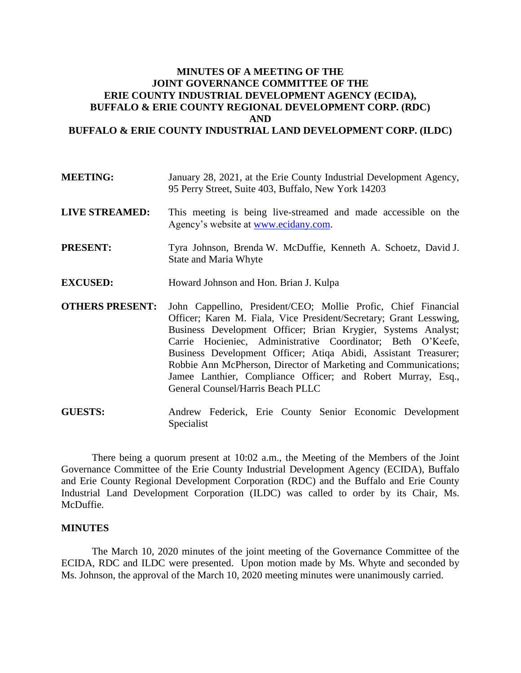## **MINUTES OF A MEETING OF THE JOINT GOVERNANCE COMMITTEE OF THE ERIE COUNTY INDUSTRIAL DEVELOPMENT AGENCY (ECIDA), BUFFALO & ERIE COUNTY REGIONAL DEVELOPMENT CORP. (RDC) AND BUFFALO & ERIE COUNTY INDUSTRIAL LAND DEVELOPMENT CORP. (ILDC)**

- **MEETING:** January 28, 2021, at the Erie County Industrial Development Agency, 95 Perry Street, Suite 403, Buffalo, New York 14203
- **LIVE STREAMED:** This meeting is being live-streamed and made accessible on the Agency's website at [www.ecidany.com.](http://www.ecidany.com/)
- **PRESENT:** Tyra Johnson, Brenda W. McDuffie, Kenneth A. Schoetz, David J. State and Maria Whyte
- **EXCUSED:** Howard Johnson and Hon. Brian J. Kulpa
- **OTHERS PRESENT:** John Cappellino, President/CEO; Mollie Profic, Chief Financial Officer; Karen M. Fiala, Vice President/Secretary; Grant Lesswing, Business Development Officer; Brian Krygier, Systems Analyst; Carrie Hocieniec, Administrative Coordinator; Beth O'Keefe, Business Development Officer; Atiqa Abidi, Assistant Treasurer; Robbie Ann McPherson, Director of Marketing and Communications; Jamee Lanthier, Compliance Officer; and Robert Murray, Esq., General Counsel/Harris Beach PLLC

**GUESTS:** Andrew Federick, Erie County Senior Economic Development Specialist

There being a quorum present at 10:02 a.m., the Meeting of the Members of the Joint Governance Committee of the Erie County Industrial Development Agency (ECIDA), Buffalo and Erie County Regional Development Corporation (RDC) and the Buffalo and Erie County Industrial Land Development Corporation (ILDC) was called to order by its Chair, Ms. McDuffie.

## **MINUTES**

The March 10, 2020 minutes of the joint meeting of the Governance Committee of the ECIDA, RDC and ILDC were presented. Upon motion made by Ms. Whyte and seconded by Ms. Johnson, the approval of the March 10, 2020 meeting minutes were unanimously carried.